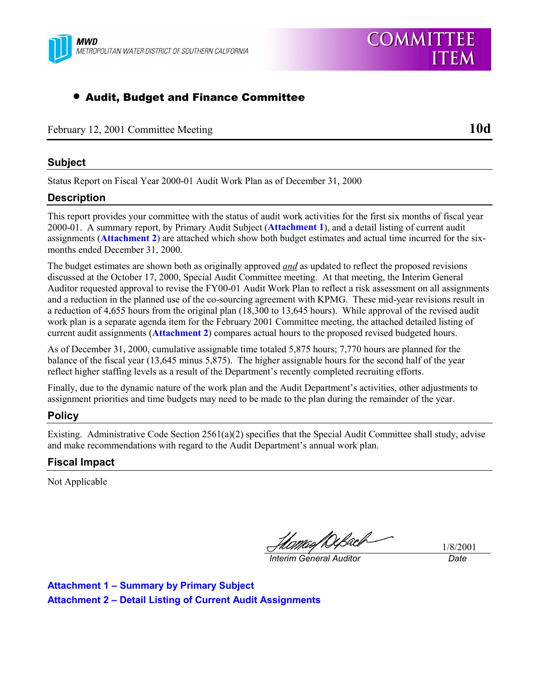

# • Audit, Budget and Finance Committee

February 12, 2001 Committee Meeting **10d**

# **Subject**

Status Report on Fiscal Year 2000-01 Audit Work Plan as of December 31, 2000

## **Description**

This report provides your committee with the status of audit work activities for the first six months of fiscal year 2000-01. A summary report, by Primary Audit Subject (**Attachment 1**), and a detail listing of current audit assignments (**Attachment 2**) are attached which show both budget estimates and actual time incurred for the sixmonths ended December 31, 2000.

The budget estimates are shown both as originally approved *and* as updated to reflect the proposed revisions discussed at the October 17, 2000, Special Audit Committee meeting. At that meeting, the Interim General Auditor requested approval to revise the FY00-01 Audit Work Plan to reflect a risk assessment on all assignments and a reduction in the planned use of the co-sourcing agreement with KPMG. These mid-year revisions result in a reduction of 4,655 hours from the original plan (18,300 to 13,645 hours). While approval of the revised audit work plan is a separate agenda item for the February 2001 Committee meeting, the attached detailed listing of current audit assignments (**Attachment 2**) compares actual hours to the proposed revised budgeted hours.

As of December 31, 2000, cumulative assignable time totaled 5,875 hours; 7,770 hours are planned for the balance of the fiscal year (13,645 minus 5,875). The higher assignable hours for the second half of the year reflect higher staffing levels as a result of the Department's recently completed recruiting efforts.

Finally, due to the dynamic nature of the work plan and the Audit Department's activities, other adjustments to assignment priorities and time budgets may need to be made to the plan during the remainder of the year.

# **Policy**

Existing. Administrative Code Section  $2561(a)(2)$  specifies that the Special Audit Committee shall study, advise and make recommendations with regard to the Audit Department's annual work plan.

### **Fiscal Impact**

Not Applicable

*Interim General Auditor Date*

1/8/2001

**Attachment 1 – Summary by Primary Subject Attachment 2 – Detail Listing of Current Audit Assignments**

**COMMITTEE** 

**ITEM**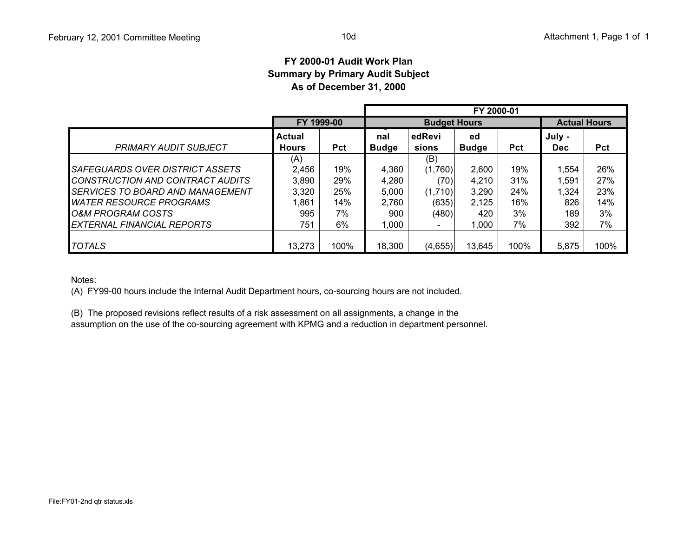### **FY 2000-01 Audit Work PlanSummary by Primary Audit Subject As of December 31, 2000**

|                                                                     |                        |            | FY 2000-01          |                          |                     |            |                |            |  |
|---------------------------------------------------------------------|------------------------|------------|---------------------|--------------------------|---------------------|------------|----------------|------------|--|
|                                                                     |                        | FY 1999-00 |                     | <b>Budget Hours</b>      | <b>Actual Hours</b> |            |                |            |  |
| <b>PRIMARY AUDIT SUBJECT</b>                                        | Actual<br><b>Hours</b> | <b>Pct</b> | nal<br><b>Budge</b> | edRevi<br>sions          | ed<br><b>Budge</b>  | <b>Pct</b> | July -<br>Dec. | <b>Pct</b> |  |
|                                                                     | (A)                    |            |                     | (B)                      |                     |            |                |            |  |
| SAFEGUARDS OVER DISTRICT ASSETS<br>CONSTRUCTION AND CONTRACT AUDITS | 2,456<br>3,890         | 19%<br>29% | 4,360<br>4.280      | (1,760)<br>(70)          | 2,600<br>4.210      | 19%<br>31% | 1.554<br>1,591 | 26%<br>27% |  |
| <i>SERVICES TO BOARD AND MANAGEMENT</i>                             | 3,320                  | 25%        | 5,000               | (1,710)                  | 3,290               | 24%        | 1,324          | 23%        |  |
| <i>WATER RESOURCE PROGRAMS</i>                                      | 1,861                  | 14%        | 2,760               | (635)                    | 2,125               | 16%        | 826            | 14%        |  |
| O&M PROGRAM COSTS                                                   | 995                    | 7%         | 900                 | (480)                    | 420                 | 3%         | 189            | 3%         |  |
| <b>EXTERNAL FINANCIAL REPORTS</b>                                   | 751                    | 6%         | 000.1               | $\overline{\phantom{0}}$ | 1,000               | 7%         | 392            | 7%         |  |
| <b>TOTALS</b>                                                       | 13,273                 | 100%       | 18,300              | (4,655)                  | 13,645              | 100%       | 5,875          | 100%       |  |

Notes:

(A) FY99-00 hours include the Internal Audit Department hours, co-sourcing hours are not included.

(B) The proposed revisions reflect results of a risk assessment on all assignments, a change in the

assumption on the use of the co-sourcing agreement with KPMG and a reduction in department personnel.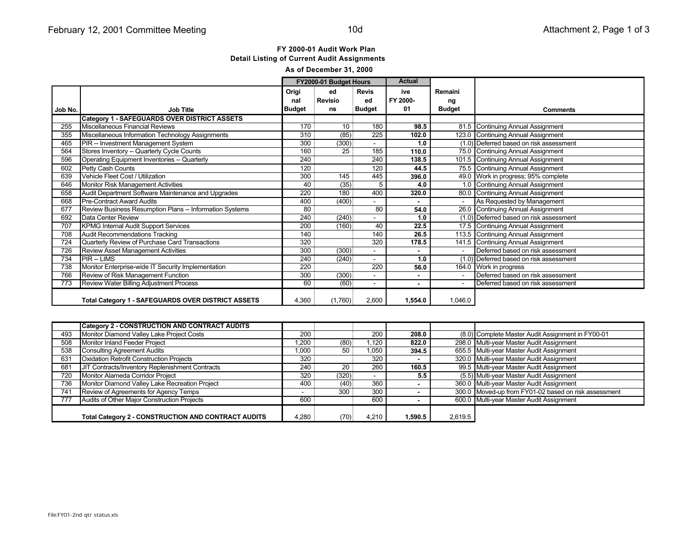#### FY 2000-01 Audit Work Plan **Detail Listing of Current Audit Assignments** As of December 31, 2000

| <b>Actual</b><br>FY2000-01 Budget Hours |                                                           |               |                |                          |                |                |                                         |
|-----------------------------------------|-----------------------------------------------------------|---------------|----------------|--------------------------|----------------|----------------|-----------------------------------------|
|                                         |                                                           |               |                |                          |                |                |                                         |
|                                         |                                                           | Origi         | ed             | <b>Revis</b>             | ive            | Remaini        |                                         |
|                                         |                                                           | nal           | <b>Revisio</b> | ed                       | FY 2000-       | ng             |                                         |
| Job No.                                 | <b>Job Title</b>                                          | <b>Budget</b> | ns             | <b>Budget</b>            | 01             | <b>Budget</b>  | <b>Comments</b>                         |
|                                         | <b>Category 1 - SAFEGUARDS OVER DISTRICT ASSETS</b>       |               |                |                          |                |                |                                         |
| 255                                     | Miscellaneous Financial Reviews                           | 170           | 10             | 180                      | 98.5           |                | 81.5 Continuing Annual Assignment       |
| 355                                     | Miscellaneous Information Technology Assignments          | 310           | (85)           | 225                      | 102.0          |                | 123.0 Continuing Annual Assignment      |
| 465                                     | PIR -- Investment Management System                       | 300           | (300)          | $\overline{\phantom{0}}$ | 1.0            |                | (1.0) Deferred based on risk assessment |
| 564                                     | Stores Inventory -- Quarterly Cycle Counts                | 160           | 25             | 185                      | 110.0          |                | 75.0 Continuing Annual Assignment       |
| 596                                     | Operating Equipment Inventories -- Quarterly              | 240           |                | 240                      | 138.5          |                | 101.5 Continuing Annual Assignment      |
| 602                                     | Petty Cash Counts                                         | 120           |                | 120                      | 44.5           |                | 75.5 Continuing Annual Assignment       |
| 639                                     | Vehicle Fleet Cost / Utilization                          | 300           | 145            | 445                      | 396.0          |                | 49.0 Work in progress; 95% complete     |
| 646                                     | Monitor Risk Management Activities                        | 40            | (35)           | 5                        | 4.0            |                | 1.0 Continuing Annual Assignment        |
| 658                                     | Audit Department Software Maintenance and Upgrades        | 220           | 180            | 400                      | 320.0          |                | 80.0 Continuing Annual Assignment       |
| 668                                     | <b>Pre-Contract Award Audits</b>                          | 400           | (400)          |                          | $\blacksquare$ | $\sim 10^{-1}$ | As Requested by Management              |
| 677                                     | Review Business Resumption Plans -- Information Systems   | 80            |                | 80                       | 54.0           |                | 26.0 Continuing Annual Assignment       |
| 692                                     | Data Center Review                                        | 240           | (240)          |                          | 1.0            |                | (1.0) Deferred based on risk assessment |
| 707                                     | <b>KPMG Internal Audit Support Services</b>               | 200           | (160)          | 40                       | 22.5           |                | 17.5 Continuing Annual Assignment       |
| 708                                     | Audit Recommendations Tracking                            | 140           |                | 140                      | 26.5           |                | 113.5 Continuing Annual Assignment      |
| 724                                     | Quarterly Review of Purchase Card Transactions            | 320           |                | 320                      | 178.5          |                | 141.5 Continuing Annual Assignment      |
| 726                                     | Review Asset Management Activities                        | 300           | (300)          |                          | ٠              | $\sim$         | Deferred based on risk assessment       |
| 734                                     | <b>PIR-LIMS</b>                                           | 240           | (240)          |                          | 1.0            |                | (1.0) Deferred based on risk assessment |
| 738                                     | Monitor Enterprise-wide IT Security Implementation        | 220           |                | 220                      | 56.0           |                | 164.0 Work in progress                  |
| 766                                     | Review of Risk Management Function                        | 300           | (300)          |                          | ٠              | $\sim$         | Deferred based on risk assessment       |
| 773                                     | Review Water Billing Adjustment Process                   | 60            | (60)           | $\overline{\phantom{a}}$ | ۰              |                | Deferred based on risk assessment       |
|                                         |                                                           |               |                |                          |                |                |                                         |
|                                         | <b>Total Category 1 - SAFEGUARDS OVER DISTRICT ASSETS</b> | 4,360         | (1,760)        | 2,600                    | 1,554.0        | 1,046.0        |                                         |

|     | <b>Category 2 - CONSTRUCTION AND CONTRACT AUDITS</b> |       |       |       |         |         |                                                      |
|-----|------------------------------------------------------|-------|-------|-------|---------|---------|------------------------------------------------------|
| 493 | Monitor Diamond Valley Lake Project Costs            | 200   |       | 200   | 208.0   |         | (8.0) Complete Master Audit Assignment in FY00-01    |
| 508 | Monitor Inland Feeder Project                        | .200  | (80)  | .120  | 822.0   |         | 298.0 Multi-year Master Audit Assignment             |
| 538 | <b>Consulting Agreement Audits</b>                   | 1,000 | 50    | 1,050 | 394.5   |         | 655.5 Multi-year Master Audit Assignment             |
| 631 | <b>Oxidation Retrofit Construction Projects</b>      | 320   |       | 320   | $\sim$  |         | 320.0 Multi-year Master Audit Assignment             |
| 681 | JIT Contracts/Inventory Replenishment Contracts      | 240   | 20    | 260   | 160.5   |         | 99.5 Multi-year Master Audit Assignment              |
| 720 | Monitor Alameda Corridor Project                     | 320   | (320) |       | 5.5     |         | (5.5) Multi-year Master Audit Assignment             |
| 736 | Monitor Diamond Valley Lake Recreation Project       | 400   | (40)  | 360   |         |         | 360.0 Multi-year Master Audit Assignment             |
| 741 | Review of Agreements for Agency Temps                |       | 300   | 300   |         |         | 300.0 Moved-up from FY01-02 based on risk assessment |
| 777 | Audits of Other Major Construction Projects          | 600   |       | 600   |         |         | 600.0 Multi-year Master Audit Assignment             |
|     |                                                      |       |       |       |         |         |                                                      |
|     | Total Category 2 - CONSTRUCTION AND CONTRACT AUDITS  | 4.280 | (70)  | 4.210 | 1.590.5 | 2,619.5 |                                                      |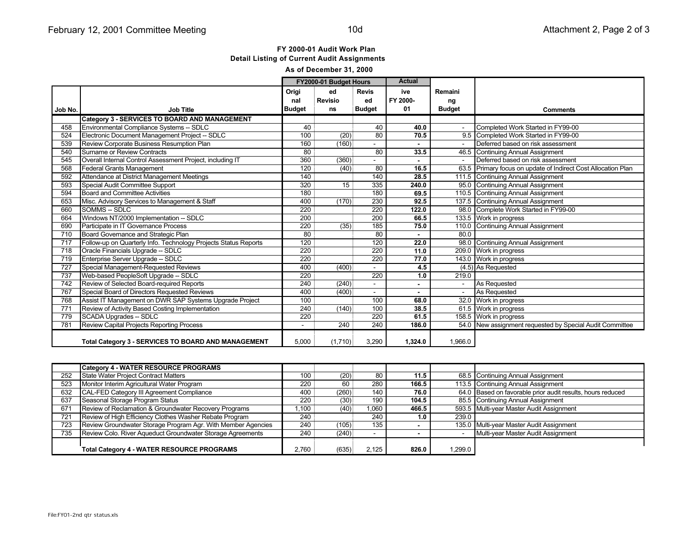### FY 2000-01 Audit Work Plan **Detail Listing of Current Audit Assignments** As of December 31, 2000

|         |                                                                 | FY2000-01 Budget Hours |                | <b>Actual</b>   |          |               |                                                               |
|---------|-----------------------------------------------------------------|------------------------|----------------|-----------------|----------|---------------|---------------------------------------------------------------|
|         |                                                                 | Origi                  | ed             | <b>Revis</b>    | ive      | Remaini       |                                                               |
|         |                                                                 | nal                    | <b>Revisio</b> | ed              | FY 2000- | ng            |                                                               |
| Job No. | <b>Job Title</b>                                                | <b>Budget</b>          | ns             | <b>Budget</b>   | 01       | <b>Budget</b> | <b>Comments</b>                                               |
|         | Category 3 - SERVICES TO BOARD AND MANAGEMENT                   |                        |                |                 |          |               |                                                               |
| 458     | Environmental Compliance Systems -- SDLC                        | 40                     |                | 40              | 40.0     |               | Completed Work Started in FY99-00                             |
| 524     | Electronic Document Management Project -- SDLC                  | 100                    | (20)           | 80              | 70.5     |               | 9.5 Completed Work Started in FY99-00                         |
| 539     | Review Corporate Business Resumption Plan                       | 160                    | (160)          |                 | ٠        | $\sim$        | Deferred based on risk assessment                             |
| 540     | Surname or Review Contracts                                     | 80                     |                | 80              | 33.5     |               | 46.5 Continuing Annual Assignment                             |
| 545     | Overall Internal Control Assessment Project, including IT       | 360                    | (360)          |                 |          |               | Deferred based on risk assessment                             |
| 568     | <b>Federal Grants Management</b>                                | 120                    | (40)           | $\overline{80}$ | 16.5     |               | 63.5 Primary focus on update of Indirect Cost Allocation Plan |
| 592     | Attendance at District Management Meetings                      | 140                    |                | 140             | 28.5     |               | 111.5 Continuing Annual Assignment                            |
| 593     | Special Audit Committee Support                                 | 320                    | 15             | 335             | 240.0    |               | 95.0 Continuing Annual Assignment                             |
| 594     | <b>Board and Committee Activities</b>                           | 180                    |                | 180             | 69.5     |               | 110.5 Continuing Annual Assignment                            |
| 653     | Misc. Advisory Services to Management & Staff                   | 400                    | (170)          | 230             | 92.5     |               | 137.5 Continuing Annual Assignment                            |
| 660     | SOMMS-SDLC                                                      | 220                    |                | 220             | 122.0    |               | 98.0 Complete Work Started in FY99-00                         |
| 664     | Windows NT/2000 Implementation -- SDLC                          | 200                    |                | 200             | 66.5     |               | 133.5 Work in progress                                        |
| 690     | Participate in IT Governance Process                            | 220                    | (35)           | 185             | 75.0     |               | 110.0 Continuing Annual Assignment                            |
| 710     | Board Governance and Strategic Plan                             | 80                     |                | 80              | ٠        | 80.0          |                                                               |
| 717     | Follow-up on Quarterly Info. Technology Projects Status Reports | 120                    |                | 120             | 22.0     |               | 98.0 Continuing Annual Assignment                             |
| 718     | Oracle Financials Upgrade -- SDLC                               | 220                    |                | 220             | 11.0     |               | 209.0 Work in progress                                        |
| 719     | Enterprise Server Upgrade -- SDLC                               | 220                    |                | 220             | 77.0     |               | 143.0 Work in progress                                        |
| 727     | Special Management-Requested Reviews                            | 400                    | (400)          |                 | 4.5      |               | $(4.5)$ As Requested                                          |
| 737     | Web-based PeopleSoft Upgrade -- SDLC                            | 220                    |                | 220             | 1.0      | 219.0         |                                                               |
| 742     | Review of Selected Board-required Reports                       | 240                    | (240)          |                 | ٠        |               | As Requested                                                  |
| 767     | Special Board of Directors Requested Reviews                    | 400                    | (400)          | $\sim$          | ٠        |               | As Requested                                                  |
| 768     | Assist IT Management on DWR SAP Systems Upgrade Project         | 100                    |                | 100             | 68.0     |               | 32.0 Work in progress                                         |
| 771     | Review of Activity Based Costing Implementation                 | 240                    | (140)          | 100             | 38.5     |               | 61.5 Work in progress                                         |
| 779     | <b>SCADA Upgrades -- SDLC</b>                                   | 220                    |                | 220             | 61.5     |               | 158.5 Work in progress                                        |
| 781     | <b>Review Capital Projects Reporting Process</b>                |                        | 240            | 240             | 186.0    |               | 54.0 New assignment requested by Special Audit Committee      |
|         |                                                                 |                        |                |                 |          |               |                                                               |
|         | <b>Total Category 3 - SERVICES TO BOARD AND MANAGEMENT</b>      | 5.000                  | (1,710)        | 3.290           | 1.324.0  | 1.966.0       |                                                               |

|     | <b>Category 4 - WATER RESOURCE PROGRAMS</b>                  |       |       |       |       |        |                                                            |
|-----|--------------------------------------------------------------|-------|-------|-------|-------|--------|------------------------------------------------------------|
| 252 | State Water Project Contract Matters                         | 100   | (20)  | 80    | 11.5  |        | 68.5 Continuing Annual Assignment                          |
| 523 | Monitor Interim Agricultural Water Program                   | 220   | 60    | 280   | 166.5 |        | 113.5 Continuing Annual Assignment                         |
| 632 | CAL-FED Category III Agreement Compliance                    | 400   | (260) | 140   | 76.0  |        | 64.0 Based on favorable prior audit results, hours reduced |
| 637 | Seasonal Storage Program Status                              | 220   | (30)  | 190   | 104.5 |        | 85.5 Continuing Annual Assignment                          |
| 671 | Review of Reclamation & Groundwater Recovery Programs        | .100  | (40)  | 060,1 | 466.5 |        | 593.5 Multi-year Master Audit Assignment                   |
| 721 | Review of High Efficiency Clothes Washer Rebate Program      | 240   |       | 240   | 1.0   | 239.0  |                                                            |
| 723 | Review Groundwater Storage Program Agr. With Member Agencies | 240   | (105) | 135   |       |        | 135.0 Multi-year Master Audit Assignment                   |
| 735 | Review Colo. River Aqueduct Groundwater Storage Agreements   | 240   | (240) |       |       |        | Multi-year Master Audit Assignment                         |
|     |                                                              |       |       |       |       |        |                                                            |
|     | <b>Total Category 4 - WATER RESOURCE PROGRAMS</b>            | 2,760 | (635) | 2.125 | 826.0 | ,299.0 |                                                            |